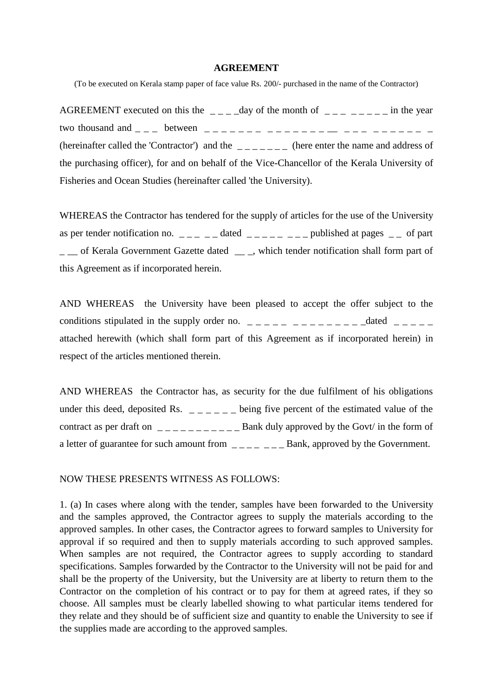## **AGREEMENT**

(To be executed on Kerala stamp paper of face value Rs. 200/- purchased in the name of the Contractor)

AGREEMENT executed on this the  $\qquad$   $\qquad$   $\qquad$   $\qquad$   $\qquad$   $\qquad$   $\qquad$   $\qquad$   $\qquad$   $\qquad$   $\qquad$   $\qquad$   $\qquad$   $\qquad$   $\qquad$   $\qquad$   $\qquad$   $\qquad$   $\qquad$   $\qquad$   $\qquad$   $\qquad$   $\qquad$   $\qquad$   $\qquad$   $\qquad$   $\qquad$   $\qquad$   $\qquad$   $\qquad$   $\qquad$   $\qquad$ two thousand and \_ \_ \_ between \_ \_ \_ \_ \_ \_ \_ \_ \_ \_ \_ \_ \_ \_ \_\_ \_ \_ \_ \_ \_ \_ \_ \_ \_ \_ (hereinafter called the 'Contractor') and the  $\bar{z}_1$   $\bar{z}_2$  (here enter the name and address of the purchasing officer), for and on behalf of the Vice-Chancellor of the Kerala University of Fisheries and Ocean Studies (hereinafter called 'the University).

WHEREAS the Contractor has tendered for the supply of articles for the use of the University as per tender notification no.  $\angle$  \_ \_ \_ \_ dated  $\angle$  \_ \_ \_ \_ \_ \_ \_ \_ published at pages  $\angle$  \_ of part \_ \_\_ of Kerala Government Gazette dated \_\_ \_, which tender notification shall form part of this Agreement as if incorporated herein.

AND WHEREAS the University have been pleased to accept the offer subject to the conditions stipulated in the supply order no.  $\frac{1}{2}$   $\frac{1}{2}$   $\frac{1}{2}$   $\frac{1}{2}$   $\frac{1}{2}$   $\frac{1}{2}$   $\frac{1}{2}$   $\frac{1}{2}$   $\frac{1}{2}$   $\frac{1}{2}$   $\frac{1}{2}$   $\frac{1}{2}$   $\frac{1}{2}$   $\frac{1}{2}$   $\frac{1}{2}$   $\frac{1}{2}$   $\frac{1}{2}$   $\frac{1$ attached herewith (which shall form part of this Agreement as if incorporated herein) in respect of the articles mentioned therein.

AND WHEREAS the Contractor has, as security for the due fulfilment of his obligations under this deed, deposited Rs.  $\angle$   $\angle$   $\angle$   $\angle$   $\angle$   $\angle$  being five percent of the estimated value of the contract as per draft on  $\angle$  \_ \_ \_ \_ \_ \_ \_ \_ \_ \_ Bank duly approved by the Govt/ in the form of a letter of guarantee for such amount from  $\angle$   $\angle$   $\angle$   $\angle$   $\angle$   $\angle$   $\angle$  Bank, approved by the Government.

NOW THESE PRESENTS WITNESS AS FOLLOWS:

1. (a) In cases where along with the tender, samples have been forwarded to the University and the samples approved, the Contractor agrees to supply the materials according to the approved samples. In other cases, the Contractor agrees to forward samples to University for approval if so required and then to supply materials according to such approved samples. When samples are not required, the Contractor agrees to supply according to standard specifications. Samples forwarded by the Contractor to the University will not be paid for and shall be the property of the University, but the University are at liberty to return them to the Contractor on the completion of his contract or to pay for them at agreed rates, if they so choose. All samples must be clearly labelled showing to what particular items tendered for they relate and they should be of sufficient size and quantity to enable the University to see if the supplies made are according to the approved samples.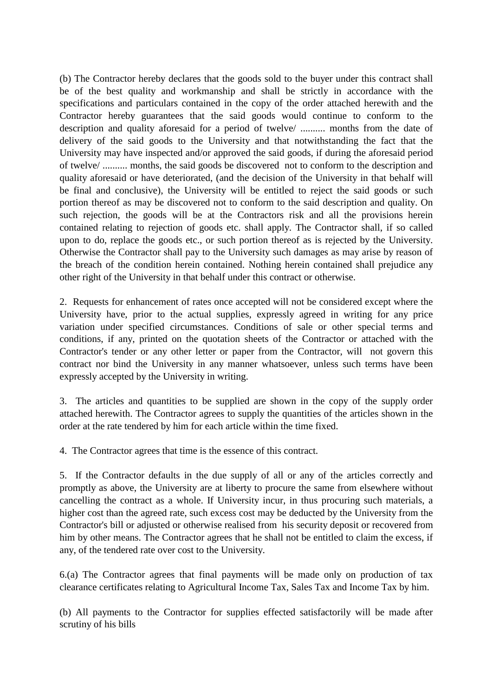(b) The Contractor hereby declares that the goods sold to the buyer under this contract shall be of the best quality and workmanship and shall be strictly in accordance with the specifications and particulars contained in the copy of the order attached herewith and the Contractor hereby guarantees that the said goods would continue to conform to the description and quality aforesaid for a period of twelve/ .......... months from the date of delivery of the said goods to the University and that notwithstanding the fact that the University may have inspected and/or approved the said goods, if during the aforesaid period of twelve/ .......... months, the said goods be discovered not to conform to the description and quality aforesaid or have deteriorated, (and the decision of the University in that behalf will be final and conclusive), the University will be entitled to reject the said goods or such portion thereof as may be discovered not to conform to the said description and quality. On such rejection, the goods will be at the Contractors risk and all the provisions herein contained relating to rejection of goods etc. shall apply. The Contractor shall, if so called upon to do, replace the goods etc., or such portion thereof as is rejected by the University. Otherwise the Contractor shall pay to the University such damages as may arise by reason of the breach of the condition herein contained. Nothing herein contained shall prejudice any other right of the University in that behalf under this contract or otherwise.

2. Requests for enhancement of rates once accepted will not be considered except where the University have, prior to the actual supplies, expressly agreed in writing for any price variation under specified circumstances. Conditions of sale or other special terms and conditions, if any, printed on the quotation sheets of the Contractor or attached with the Contractor's tender or any other letter or paper from the Contractor, will not govern this contract nor bind the University in any manner whatsoever, unless such terms have been expressly accepted by the University in writing.

3. The articles and quantities to be supplied are shown in the copy of the supply order attached herewith. The Contractor agrees to supply the quantities of the articles shown in the order at the rate tendered by him for each article within the time fixed.

4. The Contractor agrees that time is the essence of this contract.

5. If the Contractor defaults in the due supply of all or any of the articles correctly and promptly as above, the University are at liberty to procure the same from elsewhere without cancelling the contract as a whole. If University incur, in thus procuring such materials, a higher cost than the agreed rate, such excess cost may be deducted by the University from the Contractor's bill or adjusted or otherwise realised from his security deposit or recovered from him by other means. The Contractor agrees that he shall not be entitled to claim the excess, if any, of the tendered rate over cost to the University.

6.(a) The Contractor agrees that final payments will be made only on production of tax clearance certificates relating to Agricultural Income Tax, Sales Tax and Income Tax by him.

(b) All payments to the Contractor for supplies effected satisfactorily will be made after scrutiny of his bills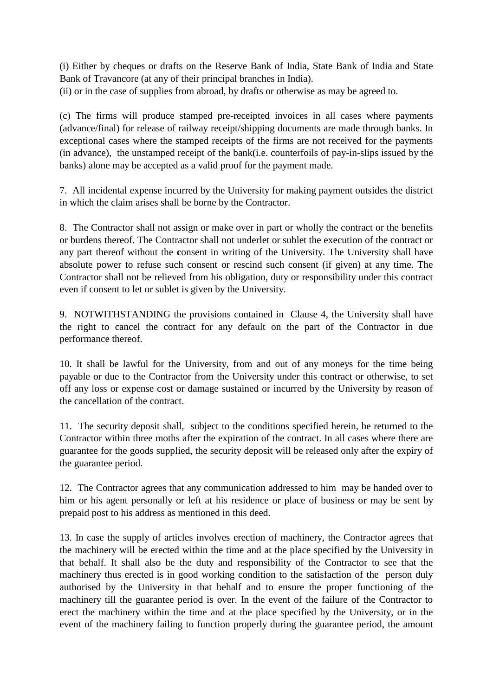(i) Either by cheques or drafts on the Reserve Bank of India, State Bank of India and State Bank of Travancore (at any of their principal branches in India). (ii) or in the case of supplies from abroad, by drafts or otherwise as may be agreed to.

(c) The firms will produce stamped pre-receipted invoices in all cases where payments (advance/final) for release of railway receipt/shipping documents are made through banks. In exceptional cases where the stamped receipts of the firms are not received for the payments (in advance), the unstamped receipt of the bank(i.e. counterfoils of pay-in-slips issued by the banks) alone may be accepted as a valid proof for the payment made.

7. All incidental expense incurred by the University for making payment outsides the district in which the claim arises shall be borne by the Contractor.

8. The Contractor shall not assign or make over in part or wholly the contract or the benefits or burdens thereof. The Contractor shall not underlet or sublet the execution of the contract or any part thereof without the **c**onsent in writing of the University. The University shall have absolute power to refuse such consent or rescind such consent (if given) at any time. The Contractor shall not be relieved from his obligation, duty or responsibility under this contract even if consent to let or sublet is given by the University.

9. NOTWITHSTANDING the provisions contained in Clause 4, the University shall have the right to cancel the contract for any default on the part of the Contractor in due performance thereof.

10. It shall be lawful for the University, from and out of any moneys for the time being payable or due to the Contractor from the University under this contract or otherwise, to set off any loss or expense cost or damage sustained or incurred by the University by reason of the cancellation of the contract.

11. The security deposit shall, subject to the conditions specified herein, be returned to the Contractor within three moths after the expiration of the contract. In all cases where there are guarantee for the goods supplied, the security deposit will be released only after the expiry of the guarantee period.

12. The Contractor agrees that any communication addressed to him may be handed over to him or his agent personally or left at his residence or place of business or may be sent by prepaid post to his address as mentioned in this deed.

13. In case the supply of articles involves erection of machinery, the Contractor agrees that the machinery will be erected within the time and at the place specified by the University in that behalf. It shall also be the duty and responsibility of the Contractor to see that the machinery thus erected is in good working condition to the satisfaction of the person duly authorised by the University in that behalf and to ensure the proper functioning of the machinery till the guarantee period is over. In the event of the failure of the Contractor to erect the machinery within the time and at the place specified by the University, or in the event of the machinery failing to function properly during the guarantee period, the amount